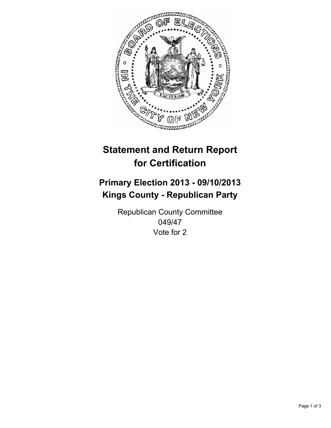

# **Statement and Return Report for Certification**

# **Primary Election 2013 - 09/10/2013 Kings County - Republican Party**

Republican County Committee 049/47 Vote for 2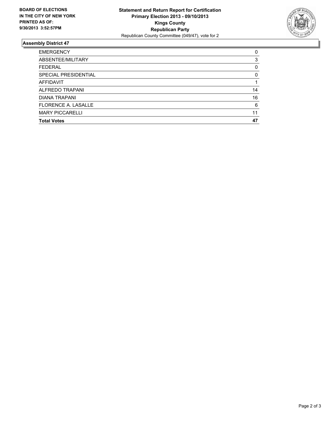

## **Assembly District 47**

| <b>EMERGENCY</b>           | 0  |
|----------------------------|----|
| ABSENTEE/MILITARY          | 3  |
| <b>FEDERAL</b>             | 0  |
| SPECIAL PRESIDENTIAL       | 0  |
| AFFIDAVIT                  |    |
| ALFREDO TRAPANI            | 14 |
| DIANA TRAPANI              | 16 |
| <b>FLORENCE A. LASALLE</b> | 6  |
| <b>MARY PICCARELLI</b>     | 11 |
| <b>Total Votes</b>         | 47 |